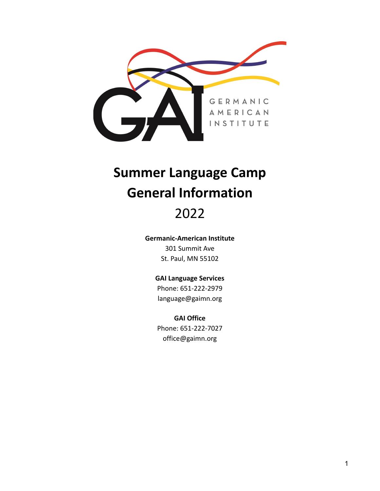

# **Summer Language Camp General Information**

# 2022

#### **Germanic-American Institute**

301 Summit Ave St. Paul, MN 55102

#### **GAI Language Services**

Phone: 651-222-2979 language@gaimn.org

#### **GAI Office**

Phone: 651-222-7027 office@gaimn.org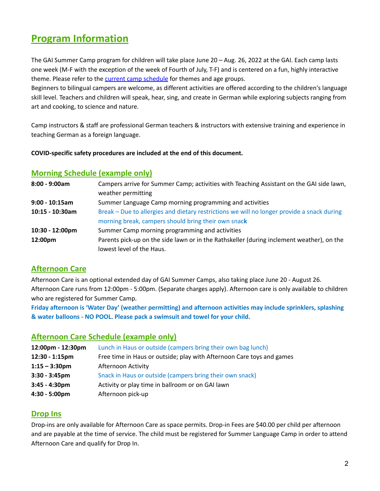# **Program Information**

The GAI Summer Camp program for children will take place June 20 – Aug. 26, 2022 at the GAI. Each camp lasts one week (M-F with the exception of the week of Fourth of July, T-F) and is centered on a fun, highly interactive theme. Please refer to the current camp [schedule](https://germanic-american-institute.jumbula.com/#/summer-camp) for themes and age groups.

Beginners to bilingual campers are welcome, as different activities are offered according to the children's language skill level. Teachers and children will speak, hear, sing, and create in German while exploring subjects ranging from art and cooking, to science and nature.

Camp instructors & staff are professional German teachers & instructors with extensive training and experience in teaching German as a foreign language.

#### **COVID-specific safety procedures are included at the end of this document.**

### **Morning Schedule (example only)**

| 8:00 - 9:00am    | Campers arrive for Summer Camp; activities with Teaching Assistant on the GAI side lawn,   |
|------------------|--------------------------------------------------------------------------------------------|
|                  | weather permitting                                                                         |
| $9:00 - 10:15am$ | Summer Language Camp morning programming and activities                                    |
| 10:15 - 10:30am  | Break – Due to allergies and dietary restrictions we will no longer provide a snack during |
|                  | morning break, campers should bring their own snack                                        |
| 10:30 - 12:00pm  | Summer Camp morning programming and activities                                             |
| 12:00pm          | Parents pick-up on the side lawn or in the Rathskeller (during inclement weather), on the  |
|                  | lowest level of the Haus.                                                                  |

# **Afternoon Care**

Afternoon Care is an optional extended day of GAI Summer Camps, also taking place June 20 - August 26. Afternoon Care runs from 12:00pm - 5:00pm. (Separate charges apply). Afternoon care is only available to children who are registered for Summer Camp.

**Friday afternoon is 'Water Day' (weather permitting) and afternoon activities may include sprinklers, splashing & water balloons - NO POOL. Please pack a swimsuit and towel for your child.**

#### **Afternoon Care Schedule (example only)**

| 12:00pm - 12:30pm | Lunch in Haus or outside (campers bring their own bag lunch)          |
|-------------------|-----------------------------------------------------------------------|
| 12:30 - 1:15pm    | Free time in Haus or outside; play with Afternoon Care toys and games |
| $1:15 - 3:30$ pm  | Afternoon Activity                                                    |
| $3:30 - 3:45$ pm  | Snack in Haus or outside (campers bring their own snack)              |
| $3:45 - 4:30pm$   | Activity or play time in ballroom or on GAI lawn                      |
| 4:30 - 5:00pm     | Afternoon pick-up                                                     |

#### **Drop Ins**

Drop-ins are only available for Afternoon Care as space permits. Drop-in Fees are \$40.00 per child per afternoon and are payable at the time of service. The child must be registered for Summer Language Camp in order to attend Afternoon Care and qualify for Drop In.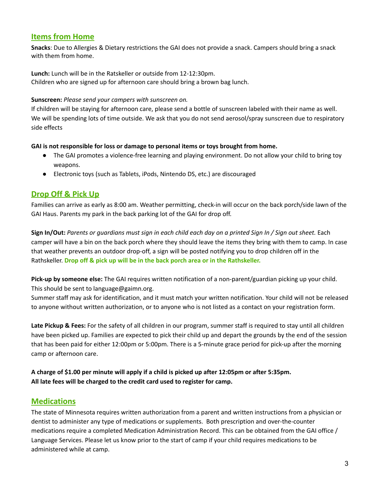# **Items from Home**

**Snacks**: Due to Allergies & Dietary restrictions the GAI does not provide a snack. Campers should bring a snack with them from home.

**Lunch:** Lunch will be in the Ratskeller or outside from 12-12:30pm. Children who are signed up for afternoon care should bring a brown bag lunch.

#### **Sunscreen:** *Please send your campers with sunscreen on.*

If children will be staying for afternoon care, please send a bottle of sunscreen labeled with their name as well. We will be spending lots of time outside. We ask that you do not send aerosol/spray sunscreen due to respiratory side effects

#### **GAI is not responsible for loss or damage to personal items or toys brought from home.**

- The GAI promotes a violence-free learning and playing environment. Do not allow your child to bring toy weapons.
- **●** Electronic toys (such as Tablets, iPods, Nintendo DS, etc.) are discouraged

# **Drop Off & Pick Up**

Families can arrive as early as 8:00 am. Weather permitting, check-in will occur on the back porch/side lawn of the GAI Haus. Parents my park in the back parking lot of the GAI for drop off.

Sign In/Out: Parents or guardians must sign in each child each day on a printed Sign In / Sign out sheet. Each camper will have a bin on the back porch where they should leave the items they bring with them to camp. In case that weather prevents an outdoor drop-off, a sign will be posted notifying you to drop children off in the Rathskeller. **Drop off & pick up will be in the back porch area or in the Rathskeller.**

**Pick-up by someone else:** The GAI requires written notification of a non-parent/guardian picking up your child. This should be sent to language@gaimn.org.

Summer staff may ask for identification, and it must match your written notification. Your child will not be released to anyone without written authorization, or to anyone who is not listed as a contact on your registration form.

**Late Pickup & Fees:** For the safety of all children in our program, summer staff is required to stay until all children have been picked up. Families are expected to pick their child up and depart the grounds by the end of the session that has been paid for either 12:00pm or 5:00pm. There is a 5-minute grace period for pick-up after the morning camp or afternoon care.

A charge of \$1.00 per minute will apply if a child is picked up after 12:05pm or after 5:35pm. **All late fees will be charged to the credit card used to register for camp.**

# **Medications**

The state of Minnesota requires written authorization from a parent and written instructions from a physician or dentist to administer any type of medications or supplements. Both prescription and over-the-counter medications require a completed Medication Administration Record. This can be obtained from the GAI office / Language Services. Please let us know prior to the start of camp if your child requires medications to be administered while at camp.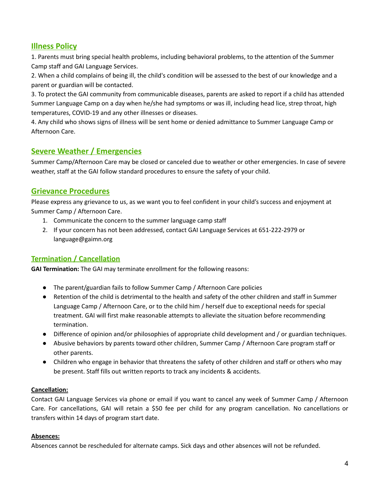# **Illness Policy**

1. Parents must bring special health problems, including behavioral problems, to the attention of the Summer Camp staff and GAI Language Services.

2. When a child complains of being ill, the child's condition will be assessed to the best of our knowledge and a parent or guardian will be contacted.

3. To protect the GAI community from communicable diseases, parents are asked to report if a child has attended Summer Language Camp on a day when he/she had symptoms or was ill, including head lice, strep throat, high temperatures, COVID-19 and any other illnesses or diseases.

4. Any child who shows signs of illness will be sent home or denied admittance to Summer Language Camp or Afternoon Care.

# **Severe Weather / Emergencies**

Summer Camp/Afternoon Care may be closed or canceled due to weather or other emergencies. In case of severe weather, staff at the GAI follow standard procedures to ensure the safety of your child.

# **Grievance Procedures**

Please express any grievance to us, as we want you to feel confident in your child's success and enjoyment at Summer Camp / Afternoon Care.

- 1. Communicate the concern to the summer language camp staff
- 2. If your concern has not been addressed, contact GAI Language Services at 651-222-2979 or language@gaimn.org

# **Termination / Cancellation**

**GAI Termination:** The GAI may terminate enrollment for the following reasons:

- The parent/guardian fails to follow Summer Camp / Afternoon Care policies
- Retention of the child is detrimental to the health and safety of the other children and staff in Summer Language Camp / Afternoon Care, or to the child him / herself due to exceptional needs for special treatment. GAI will first make reasonable attempts to alleviate the situation before recommending termination.
- Difference of opinion and/or philosophies of appropriate child development and / or guardian techniques.
- Abusive behaviors by parents toward other children, Summer Camp / Afternoon Care program staff or other parents.
- Children who engage in behavior that threatens the safety of other children and staff or others who may be present. Staff fills out written reports to track any incidents & accidents.

#### **Cancellation:**

Contact GAI Language Services via phone or email if you want to cancel any week of Summer Camp / Afternoon Care. For cancellations, GAI will retain a \$50 fee per child for any program cancellation. No cancellations or transfers within 14 days of program start date.

#### **Absences:**

Absences cannot be rescheduled for alternate camps. Sick days and other absences will not be refunded.